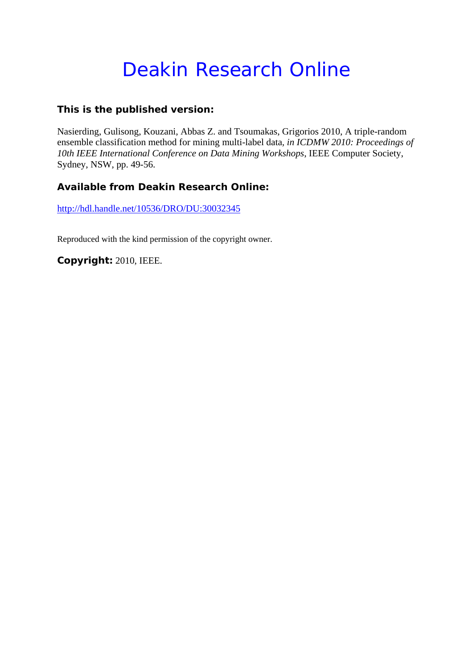# Deakin Research Online

# **This is the published version:**

Nasierding, Gulisong, Kouzani, Abbas Z. and Tsoumakas, Grigorios 2010, A triple-random ensemble classification method for mining multi-label data*, in ICDMW 2010: Proceedings of 10th IEEE International Conference on Data Mining Workshops*, IEEE Computer Society, Sydney, NSW, pp. 49-56.

# **Available from Deakin Research Online:**

http://hdl.handle.net/10536/DRO/DU:30032345

Reproduced with the kind permission of the copyright owner.

**Copyright:** 2010, IEEE.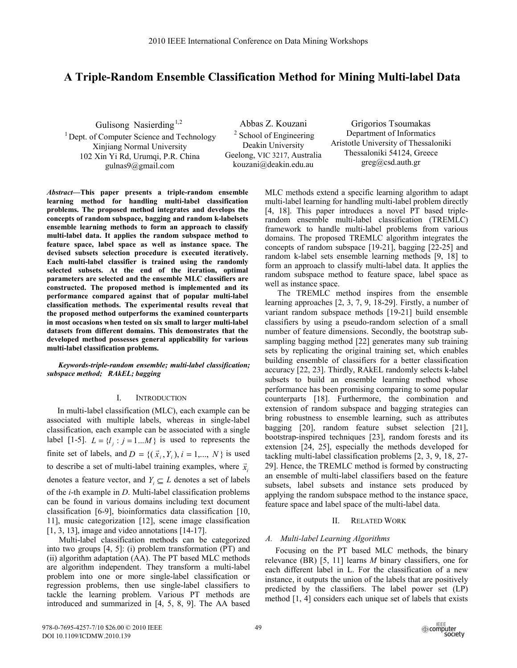# **A Triple-Random Ensemble Classification Method for Mining Multi-label Data**

Gulisong Nasierding<sup>1,2</sup> <sup>1</sup> Dept. of Computer Science and Technology Xinjiang Normal University 102 Xin Yi Rd, Urumqi, P.R. China gulnas9@gmail.com

Abbas Z. Kouzani <sup>2</sup> School of Engineering Deakin University Geelong, VIC 3217, Australia kouzani@deakin.edu.au

Grigorios Tsoumakas Department of Informatics Aristotle University of Thessaloniki Thessaloniki 54124, Greece greg@csd.auth.gr

*Abstract***—This paper presents a triple-random ensemble learning method for handling multi-label classification problems. The proposed method integrates and develops the concepts of random subspace, bagging and random k-labelsets ensemble learning methods to form an approach to classify multi-label data. It applies the random subspace method to feature space, label space as well as instance space. The devised subsets selection procedure is executed iteratively. Each multi-label classifier is trained using the randomly selected subsets. At the end of the iteration, optimal parameters are selected and the ensemble MLC classifiers are constructed. The proposed method is implemented and its performance compared against that of popular multi-label classification methods. The experimental results reveal that the proposed method outperforms the examined counterparts in most occasions when tested on six small to larger multi-label datasets from different domains. This demonstrates that the developed method possesses general applicability for various multi-label classification problems.** 

 *Keywords-triple-random ensemble; multi-label classification; subspace method; RAkEL; bagging* 

# I. INTRODUCTION

 In multi-label classification (MLC), each example can be associated with multiple labels, whereas in single-label classification, each example can be associated with a single label [1-5].  $L = \{l_j : j = 1...M\}$  is used to represents the finite set of labels, and  $D = \{(\vec{x}_i, Y_i), i = 1, ..., N\}$  is used to describe a set of multi-label training examples, where  $\vec{x}$ denotes a feature vector, and  $Y_i \subseteq L$  denotes a set of labels of the *i*-th example in *D*. Multi-label classification problems can be found in various domains including text document classification [6-9], bioinformatics data classification [10, 11], music categorization [12], scene image classification [1, 3, 13], image and video annotations [14-17].

Multi-label classification methods can be categorized into two groups [4, 5]: (i) problem transformation (PT) and (ii) algorithm adaptation (AA). The PT based MLC methods are algorithm independent. They transform a multi-label problem into one or more single-label classification or regression problems, then use single-label classifiers to tackle the learning problem. Various PT methods are introduced and summarized in [4, 5, 8, 9]. The AA based MLC methods extend a specific learning algorithm to adapt multi-label learning for handling multi-label problem directly [4, 18]. This paper introduces a novel PT based triplerandom ensemble multi-label classification (TREMLC) framework to handle multi-label problems from various domains. The proposed TREMLC algorithm integrates the concepts of random subspace [19-21], bagging [22-25] and random k-label sets ensemble learning methods [9, 18] to form an approach to classify multi-label data. It applies the random subspace method to feature space, label space as well as instance space.

 The TREMLC method inspires from the ensemble learning approaches [2, 3, 7, 9, 18-29]. Firstly, a number of variant random subspace methods [19-21] build ensemble classifiers by using a pseudo-random selection of a small number of feature dimensions. Secondly, the bootstrap subsampling bagging method [22] generates many sub training sets by replicating the original training set, which enables building ensemble of classifiers for a better classification accuracy [22, 23]. Thirdly, RAkEL randomly selects k-label subsets to build an ensemble learning method whose performance has been promising comparing to some popular counterparts [18]. Furthermore, the combination and extension of random subspace and bagging strategies can bring robustness to ensemble learning, such as attributes bagging [20], random feature subset selection [21], bootstrap-inspired techniques [23], random forests and its extension [24, 25], especially the methods developed for tackling multi-label classification problems [2, 3, 9, 18, 27- 29]. Hence, the TREMLC method is formed by constructing an ensemble of multi-label classifiers based on the feature subsets, label subsets and instance sets produced by applying the random subspace method to the instance space, feature space and label space of the multi-label data.

# II. RELATED WORK

# *A. Multi-label Learning Algorithms*

 Focusing on the PT based MLC methods, the binary relevance (BR) [5, 11] learns *M* binary classifiers, one for each different label in L. For the classification of a new instance, it outputs the union of the labels that are positively predicted by the classifiers. The label power set (LP) method [1, 4] considers each unique set of labels that exists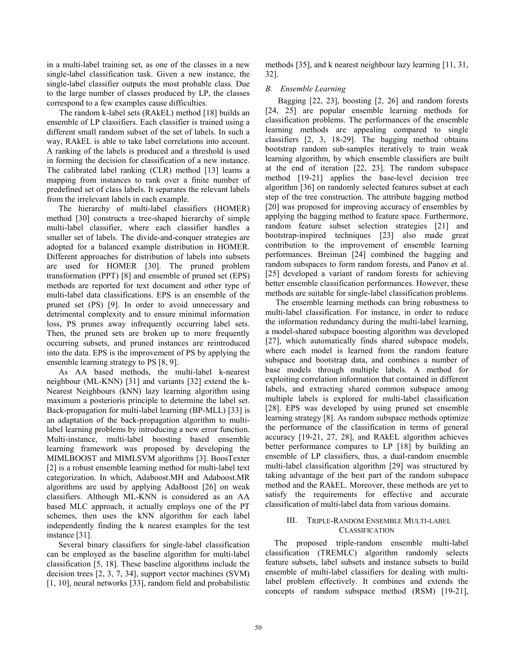in a multi-label training set, as one of the classes in a new single-label classification task. Given a new instance, the single-label classifier outputs the most probable class. Due to the large number of classes produced by LP, the classes correspond to a few examples cause difficulties.

 The random k-label sets (RAkEL) method [18] builds an ensemble of LP classifiers. Each classifier is trained using a different small random subset of the set of labels. In such a way, RAkEL is able to take label correlations into account. A ranking of the labels is produced and a threshold is used in forming the decision for classification of a new instance. The calibrated label ranking (CLR) method [13] learns a mapping from instances to rank over a finite number of predefined set of class labels. It separates the relevant labels from the irrelevant labels in each example.

The hierarchy of multi-label classifiers (HOMER) method [30] constructs a tree-shaped hierarchy of simple multi-label classifier, where each classifier handles a smaller set of labels. The divide-and-conquer strategies are adopted for a balanced example distribution in HOMER. Different approaches for distribution of labels into subsets are used for HOMER [30]. The pruned problem transformation (PPT) [8] and ensemble of pruned set (EPS) methods are reported for text document and other type of multi-label data classifications. EPS is an ensemble of the pruned set (PS) [9]. In order to avoid unnecessary and detrimental complexity and to ensure minimal information loss, PS prunes away infrequently occurring label sets. Then, the pruned sets are broken up to more frequently occurring subsets, and pruned instances are reintroduced into the data. EPS is the improvement of PS by applying the ensemble learning strategy to PS [8, 9].

As AA based methods, the multi-label k-nearest neighbour (ML-KNN) [31] and variants [32] extend the k-Nearest Neighbours (kNN) lazy learning algorithm using maximum a posterioris principle to determine the label set. Back-propagation for multi-label learning (BP-MLL) [33] is an adaptation of the back-propagation algorithm to multilabel learning problems by introducing a new error function. Multi-instance, multi-label boosting based ensemble learning framework was proposed by developing the MIMLBOOST and MIMLSVM algorithms [3]. BoosTexter [2] is a robust ensemble learning method for multi-label text categorization. In which, Adaboost.MH and Adaboost.MR algorithms are used by applying AdaBoost [26] on weak classifiers. Although ML-KNN is considered as an AA based MLC approach, it actually employs one of the PT schemes, then uses the kNN algorithm for each label independently finding the k nearest examples for the test instance [31].

Several binary classifiers for single-label classification can be employed as the baseline algorithm for multi-label classification [5, 18]. These baseline algorithms include the decision trees [2, 3, 7, 34], support vector machines (SVM) [1, 10], neural networks [33], random field and probabilistic

methods [35], and k nearest neighbour lazy learning [11, 31, 32].

# *B. Ensemble Learning*

 Bagging [22, 23], boosting [2, 26] and random forests [24, 25] are popular ensemble learning methods for classification problems. The performances of the ensemble learning methods are appealing compared to single classifiers [2, 3, 18-29]. The bagging method obtains bootstrap random sub-samples iteratively to train weak learning algorithm, by which ensemble classifiers are built at the end of iteration [22, 23]. The random subspace method [19-21] applies the base-level decision tree algorithm [36] on randomly selected features subset at each step of the tree construction. The attribute bagging method [20] was proposed for improving accuracy of ensembles by applying the bagging method to feature space. Furthermore, random feature subset selection strategies [21] and bootstrap-inspired techniques [23] also made great contribution to the improvement of ensemble learning performances. Breiman [24] combined the bagging and random subspaces to form random forests, and Panov et al. [25] developed a variant of random forests for achieving better ensemble classification performances. However, these methods are suitable for single-label classification problems.

 The ensemble learning methods can bring robustness to multi-label classification. For instance, in order to reduce the information redundancy during the multi-label learning, a model-shared subspace boosting algorithm was developed [27], which automatically finds shared subspace models, where each model is learned from the random feature subspace and bootstrap data, and combines a number of base models through multiple labels. A method for exploiting correlation information that contained in different labels, and extracting shared common subspace among multiple labels is explored for multi-label classification [28]. EPS was developed by using pruned set ensemble learning strategy [8]. As random subspace methods optimize the performance of the classification in terms of general accuracy [19-21, 27, 28], and RAkEL algorithm achieves better performance compares to LP [18] by building an ensemble of LP classifiers, thus, a dual-random ensemble multi-label classification algorithm [29] was structured by taking advantage of the best part of the random subspace method and the RAkEL. Moreover, these methods are yet to satisfy the requirements for effective and accurate classification of multi-label data from various domains.

# III. TRIPLE-RANDOM ENSEMBLE MULTI-LABEL **CLASSIFICATION**

The proposed triple-random ensemble multi-label classification (TREMLC) algorithm randomly selects feature subsets, label subsets and instance subsets to build ensemble of multi-label classifiers for dealing with multilabel problem effectively. It combines and extends the concepts of random subspace method (RSM) [19-21],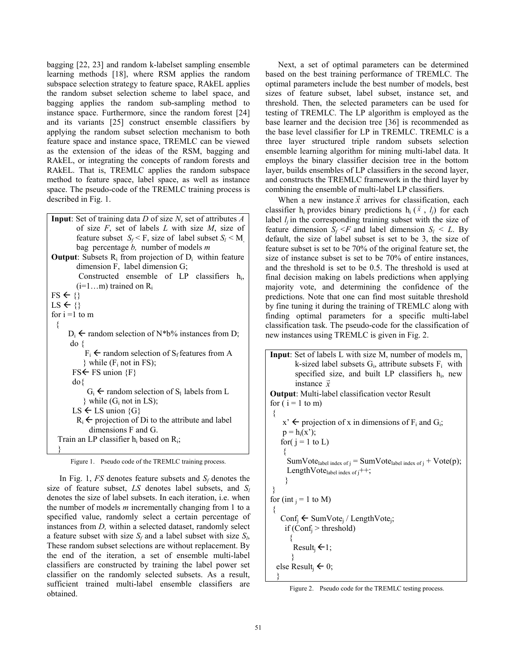bagging [22, 23] and random k-labelset sampling ensemble learning methods [18], where RSM applies the random subspace selection strategy to feature space, RAkEL applies the random subset selection scheme to label space, and bagging applies the random sub-sampling method to instance space. Furthermore, since the random forest [24] and its variants [25] construct ensemble classifiers by applying the random subset selection mechanism to both feature space and instance space, TREMLC can be viewed as the extension of the ideas of the RSM, bagging and RAkEL, or integrating the concepts of random forests and RAkEL. That is, TREMLC applies the random subspace method to feature space, label space, as well as instance space. The pseudo-code of the TREMLC training process is described in Fig. 1.

```
Input: Set of training data D of size N, set of attributes A
        of size F, set of labels L with size M, size of 
        feature subset S_f < F, size of label subset S_l < M,
        bag percentage b, number of models m
Output: Subsets R_i from projection of D_i within feature
        dimension F, label dimension G; 
         Constructed ensemble of LP classifiers h<sub>i</sub>,
        (i=1...m) trained on R_iFS \leftarrow \{\}LS \leftarrow \{\}for i = 1 to m
 { 
      D_i \leftarrow random selection of N*b% instances from D;
       do { 
           F_i \leftarrow random selection of S_f features from A
           \} while (F<sub>i</sub> not in FS);
       FS \leftarrow FS union \{F\} do{ 
            G_i \leftarrow random selection of S_i labels from L
           \} while (G<sub>i</sub> not in LS);
       LS \leftarrow LS union \{G\}R_i \leftarrow projection of Di to the attribute and label
              dimensions F and G. 
  Train an LP classifier h_i based on R_i;
 }
```
Figure 1. Pseudo code of the TREMLC training process.

In Fig. 1,  $FS$  denotes feature subsets and  $S_f$  denotes the size of feature subset, *LS* denotes label subsets, and *S*<sup>*l*</sup> denotes the size of label subsets. In each iteration, i.e. when the number of models *m* incrementally changing from 1 to a specified value, randomly select a certain percentage of instances from *D,* within a selected dataset, randomly select a feature subset with size  $S_f$  and a label subset with size  $S_i$ , These random subset selections are without replacement. By the end of the iteration, a set of ensemble multi-label classifiers are constructed by training the label power set classifier on the randomly selected subsets. As a result, sufficient trained multi-label ensemble classifiers are obtained.

 Next, a set of optimal parameters can be determined based on the best training performance of TREMLC. The optimal parameters include the best number of models, best sizes of feature subset, label subset, instance set, and threshold. Then, the selected parameters can be used for testing of TREMLC. The LP algorithm is employed as the base learner and the decision tree [36] is recommended as the base level classifier for LP in TREMLC. TREMLC is a three layer structured triple random subsets selection ensemble learning algorithm for mining multi-label data. It employs the binary classifier decision tree in the bottom layer, builds ensembles of LP classifiers in the second layer, and constructs the TREMLC framework in the third layer by combining the ensemble of multi-label LP classifiers. G

When a new instance  $\vec{x}$  arrives for classification, each classifier h<sub>i</sub> provides binary predictions h<sub>i</sub> ( $\vec{x}$ ,  $l_j$ ) for each label  $l_i$  in the corresponding training subset with the size of feature dimension  $S_f \leq F$  and label dimension  $S_l \leq L$ . By default, the size of label subset is set to be 3, the size of feature subset is set to be 70% of the original feature set, the size of instance subset is set to be 70% of entire instances, and the threshold is set to be 0.5. The threshold is used at final decision making on labels predictions when applying majority vote, and determining the confidence of the predictions. Note that one can find most suitable threshold by fine tuning it during the training of TREMLC along with finding optimal parameters for a specific multi-label classification task. The pseudo-code for the classification of new instances using TREMLC is given in Fig. 2.

| <b>Input:</b> Set of labels L with size M, number of models m,                  |
|---------------------------------------------------------------------------------|
| k-sized label subsets $G_i$ , attribute subsets $F_i$ with                      |
| specified size, and built LP classifiers $h_i$ , new                            |
| instance $\vec{x}$                                                              |
|                                                                                 |
| <b>Output:</b> Multi-label classification vector Result                         |
| for $(i = 1$ to m)                                                              |
| ₹                                                                               |
| $x' \leftarrow$ projection of x in dimensions of $F_i$ and $G_i$ ;              |
| $p = h_i(x')$ ;                                                                 |
| for( $j = 1$ to L)                                                              |
|                                                                                 |
| $SumVotelabel index of j = SumVotelabel index of j + Vote(j);$                  |
|                                                                                 |
| $LengthVotelabel index of j^{++};$                                              |
|                                                                                 |
| ∤                                                                               |
| for (int $_i = 1$ to M)                                                         |
| ₹                                                                               |
| Conf <sub>i</sub> $\leftarrow$ SumVote <sub>i</sub> / LengthVote <sub>i</sub> ; |
| if $(Conf_i > threshold)$                                                       |
|                                                                                 |
|                                                                                 |
| Result <sub>i</sub> $\leftarrow$ 1;                                             |
|                                                                                 |
| else Result <sub>i</sub> $\leftarrow 0$ ;                                       |
|                                                                                 |

Figure 2. Pseudo code for the TREMLC testing process.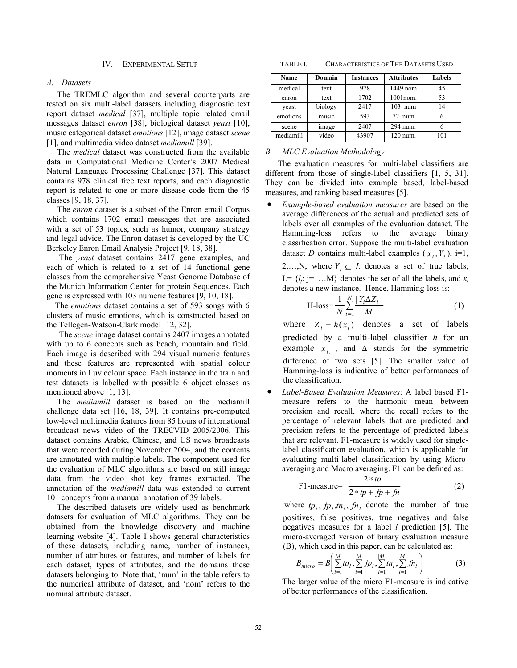# IV. EXPERIMENTAL SETUP

# *A. Datasets*

 The TREMLC algorithm and several counterparts are tested on six multi-label datasets including diagnostic text report dataset *medical* [37], multiple topic related email messages dataset *enron* [38], biological dataset *yeast* [10], music categorical dataset *emotions* [12], image dataset *scene* [1], and multimedia video dataset *mediamill* [39].

 The *medical* dataset was constructed from the available data in Computational Medicine Center's 2007 Medical Natural Language Processing Challenge [37]. This dataset contains 978 clinical free text reports, and each diagnostic report is related to one or more disease code from the 45 classes [9, 18, 37].

 The *enron* dataset is a subset of the Enron email Corpus which contains 1702 email messages that are associated with a set of 53 topics, such as humor, company strategy and legal advice. The Enron dataset is developed by the UC Berkeley Enron Email Analysis Project [9, 18, 38].

 The *yeast* dataset contains 2417 gene examples, and each of which is related to a set of 14 functional gene classes from the comprehensive Yeast Genome Database of the Munich Information Center for protein Sequences. Each gene is expressed with 103 numeric features [9, 10, 18].

 The *emotions* dataset contains a set of 593 songs with 6 clusters of music emotions, which is constructed based on the Tellegen-Watson-Clark model [12, 32].

 The *scene* image dataset contains 2407 images annotated with up to 6 concepts such as beach, mountain and field. Each image is described with 294 visual numeric features and these features are represented with spatial colour moments in Luv colour space. Each instance in the train and test datasets is labelled with possible 6 object classes as mentioned above [1, 13].

 The *mediamill* dataset is based on the mediamill challenge data set [16, 18, 39]. It contains pre-computed low-level multimedia features from 85 hours of international broadcast news video of the TRECVID 2005/2006. This dataset contains Arabic, Chinese, and US news broadcasts that were recorded during November 2004, and the contents are annotated with multiple labels. The component used for the evaluation of MLC algorithms are based on still image data from the video shot key frames extracted. The annotation of the *mediamill* data was extended to current 101 concepts from a manual annotation of 39 labels.

 The described datasets are widely used as benchmark datasets for evaluation of MLC algorithms. They can be obtained from the knowledge discovery and machine learning website [4]. Table I shows general characteristics of these datasets, including name, number of instances, number of attributes or features, and number of labels for each dataset, types of attributes, and the domains these datasets belonging to. Note that, 'num' in the table refers to the numerical attribute of dataset, and 'nom' refers to the nominal attribute dataset.

TABLE I. CHARACTERISTICS OF THE DATASETS USED

| <b>Name</b> | <b>Attributes</b><br>Domain<br><b>Instances</b> |                               | Labels   |     |
|-------------|-------------------------------------------------|-------------------------------|----------|-----|
| medical     | text                                            | 1449 nom<br>978               |          | 45  |
| enron       | text                                            | 1702<br>1001 <sub>nom</sub> . |          | 53  |
| veast       | 2417<br>biology<br>$103$ num                    |                               | 14       |     |
| emotions    | music                                           | 593                           | $72$ num |     |
| scene       | image                                           | 2407                          | 294 num. |     |
| mediamill   | video                                           | 43907                         | 120 num. | 101 |

# *B. MLC Evaluation Methodology*

 The evaluation measures for multi-label classifiers are different from those of single-label classifiers [1, 5, 31]. They can be divided into example based, label-based measures, and ranking based measures [5].

• *Example-based evaluation measures* are based on the average differences of the actual and predicted sets of labels over all examples of the evaluation dataset. The Hamming-loss refers to the average binary classification error. Suppose the multi-label evaluation dataset *D* contains multi-label examples  $(x_i, Y_i)$ , i=1,

2,...,N, where  $Y_i \subseteq L$  denotes a set of true labels, L=  $\{l_i: j=1...M\}$  denotes the set of all the labels, and  $x_i$ denotes a new instance. Hence, Hamming-loss is:

$$
H\text{-loss} = \frac{1}{N} \sum_{i=1}^{N} \frac{|Y_i \Delta Z_i|}{M}
$$
 (1)

where  $Z_i = h(x_i)$  denotes a set of labels predicted by a multi-label classifier *h* for an example  $x_i$ , and  $\Delta$  stands for the symmetric difference of two sets [5]. The smaller value of Hamming-loss is indicative of better performances of the classification.

• *Label-Based Evaluation Measures*: A label based F1 measure refers to the harmonic mean between precision and recall, where the recall refers to the percentage of relevant labels that are predicted and precision refers to the percentage of predicted labels that are relevant. F1-measure is widely used for singlelabel classification evaluation, which is applicable for evaluating multi-label classification by using Microaveraging and Macro averaging. F1 can be defined as:

$$
F1-measure = \frac{2 * tp}{2 * tp + fp + fn}
$$
 (2)

where  $tp_1$ ,  $fp_1$ ,  $tn_1$ ,  $fn_1$  denote the number of true positives, false positives, true negatives and false negatives measures for a label *l* prediction [5]. The micro-averaged version of binary evaluation measure (B), which used in this paper, can be calculated as:

$$
B_{micro} = B \left( \sum_{l=1}^{M} t p_l, \sum_{l=1}^{M} f p_l, \sum_{l=1}^{M} t n_l, \sum_{l=1}^{M} f n_l \right) \tag{3}
$$

 The larger value of the micro F1-measure is indicative of better performances of the classification.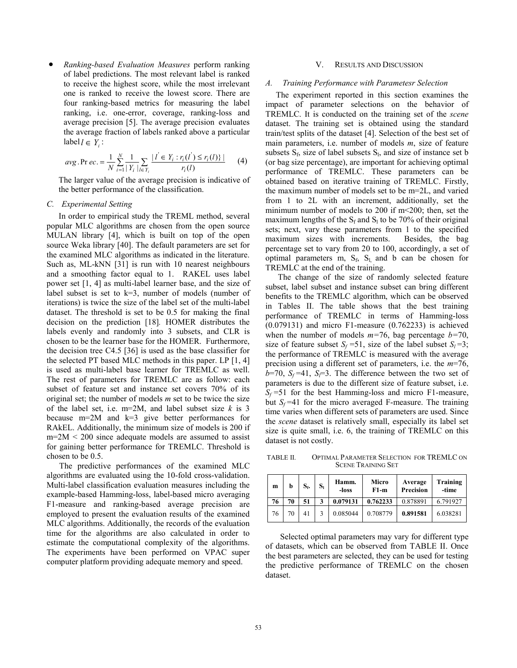• *Ranking-based Evaluation Measures* perform ranking of label predictions. The most relevant label is ranked to receive the highest score, while the most irrelevant one is ranked to receive the lowest score. There are four ranking-based metrics for measuring the label ranking, i.e. one-error, coverage, ranking-loss and average precision [5]. The average precision evaluates the average fraction of labels ranked above a particular  $label *l* \in Y<sub>i</sub>$ :

$$
avg \cdot \Pr{ec.} = \frac{1}{N} \sum_{i=1}^{N} \frac{1}{|Y_i|} \sum_{l \in Y_i} \frac{|l' \in Y_i : r_i(l') \le r_i(l)}{r_i(l)} \tag{4}
$$

The larger value of the average precision is indicative of the better performance of the classification.

# *C. Experimental Setting*

In order to empirical study the TREML method, several popular MLC algorithms are chosen from the open source MULAN library [4], which is built on top of the open source Weka library [40]. The default parameters are set for the examined MLC algorithms as indicated in the literature. Such as, ML-kNN [31] is run with 10 nearest neighbours and a smoothing factor equal to 1. RAKEL uses label power set [1, 4] as multi-label learner base, and the size of label subset is set to  $k=3$ , number of models (number of iterations) is twice the size of the label set of the multi-label dataset. The threshold is set to be 0.5 for making the final decision on the prediction [18]*.* HOMER distributes the labels evenly and randomly into 3 subsets, and CLR is chosen to be the learner base for the HOMER. Furthermore, the decision tree C4.5 [36] is used as the base classifier for the selected PT based MLC methods in this paper. LP [1, 4] is used as multi-label base learner for TREMLC as well. The rest of parameters for TREMLC are as follow: each subset of feature set and instance set covers 70% of its original set; the number of models *m* set to be twice the size of the label set, i.e.  $m=2M$ , and label subset size  $k$  is 3 because m=2M and k=3 give better performances for RAkEL. Additionally, the minimum size of models is 200 if  $m=2M < 200$  since adequate models are assumed to assist for gaining better performance for TREMLC. Threshold is chosen to be 0.5.

 The predictive performances of the examined MLC algorithms are evaluated using the 10-fold cross-validation. Multi-label classification evaluation measures including the example-based Hamming-loss, label-based micro averaging F1-measure and ranking-based average precision are employed to present the evaluation results of the examined MLC algorithms. Additionally, the records of the evaluation time for the algorithms are also calculated in order to estimate the computational complexity of the algorithms. The experiments have been performed on VPAC super computer platform providing adequate memory and speed.

# V. RESULTS AND DISCUSSION

# *A. Training Performance with Parametesr Selection*

 The experiment reported in this section examines the impact of parameter selections on the behavior of TREMLC. It is conducted on the training set of the *scene* dataset. The training set is obtained using the standard train/test splits of the dataset [4]. Selection of the best set of main parameters, i.e. number of models *m*, size of feature subsets  $S_f$ , size of label subsets  $S_l$ , and size of instance set b (or bag size percentage), are important for achieving optimal performance of TREMLC. These parameters can be obtained based on iterative training of TREMLC. Firstly, the maximum number of models set to be m=2L, and varied from 1 to 2L with an increment, additionally, set the minimum number of models to 200 if m<200; then, set the maximum lengths of the  $S_f$  and  $S_l$  to be 70% of their original sets; next, vary these parameters from 1 to the specified maximum sizes with increments. Besides, the bag percentage set to vary from 20 to 100, accordingly, a set of optimal parameters m,  $S_f$ ,  $S_l$  and b can be chosen for TREMLC at the end of the training.

 The change of the size of randomly selected feature subset, label subset and instance subset can bring different benefits to the TREMLC algorithm, which can be observed in Tables II. The table shows that the best training performance of TREMLC in terms of Hamming-loss (0.079131) and micro F1-measure (0.762233) is achieved when the number of models  $m=76$ , bag percentage  $b=70$ , size of feature subset  $S_f = 51$ , size of the label subset  $S_f = 3$ ; the performance of TREMLC is measured with the average precision using a different set of parameters, i.e. the *m*=76,  $b=70$ ,  $S_f=41$ ,  $S_f=3$ . The difference between the two set of parameters is due to the different size of feature subset, i.e.  $S_f$  =51 for the best Hamming-loss and micro F1-measure, but  $S_f = 41$  for the micro averaged F-measure. The training time varies when different sets of parameters are used. Since the *scene* dataset is relatively small, especially its label set size is quite small, i.e. 6, the training of TREMLC on this dataset is not costly.

TABLE II. OPTIMAL PARAMETER SELECTION FOR TREMLC ON SCENE TRAINING SET

| m  | h  | $S_{f}$ | S <sub>1</sub> | Hamm.<br>-loss | Micro<br>$F1-m$ | Average<br><b>Precision</b> | Training<br>-time |
|----|----|---------|----------------|----------------|-----------------|-----------------------------|-------------------|
| 76 | 70 | 51      | 3              | 0.079131       | 0.762233        | 0.878891                    | 6.791927          |
| 76 | 70 | 41      |                | 0.085044       | 0.708779        | 0.891581                    | 6.038281          |

 Selected optimal parameters may vary for different type of datasets, which can be observed from TABLE II. Once the best parameters are selected, they can be used for testing the predictive performance of TREMLC on the chosen dataset.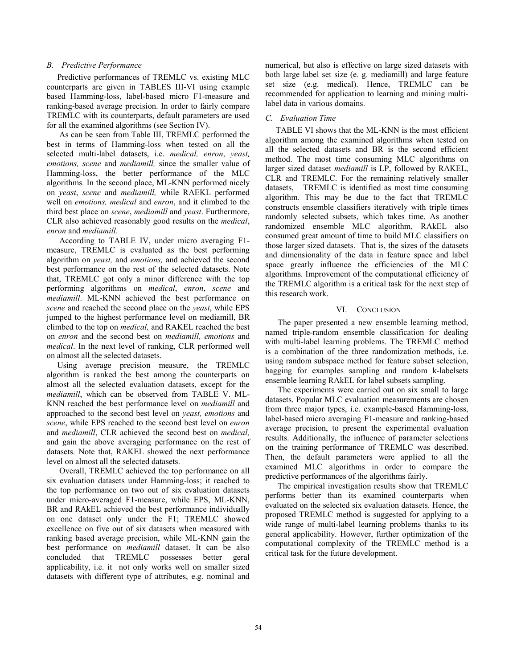# *B. Predictive Performance*

 Predictive performances of TREMLC vs. existing MLC counterparts are given in TABLES III-VI using example based Hamming-loss, label-based micro F1-measure and ranking-based average precision. In order to fairly compare TREMLC with its counterparts, default parameters are used for all the examined algorithms (see Section IV).

 As can be seen from Table III, TREMLC performed the best in terms of Hamming-loss when tested on all the selected multi-label datasets, i.e. *medical, enron*, *yeast, emotions, scene* and *mediamill,* since the smaller value of Hamming-loss, the better performance of the MLC algorithms*.* In the second place, ML-KNN performed nicely on *yeast*, *scene* and *mediamill,* while RAEKL performed well on *emotions, medical* and *enron*, and it climbed to the third best place on *scene*, *mediamill* and *yeast*. Furthermore, CLR also achieved reasonably good results on the *medical*, *enron* and *mediamill*.

 According to TABLE IV, under micro averaging F1 measure, TREMLC is evaluated as the best performing algorithm on *yeast,* and *emotions,* and achieved the second best performance on the rest of the selected datasets. Note that, TREMLC got only a minor difference with the top performing algorithms on *medical*, *enron*, *scene* and *mediamill*. ML-KNN achieved the best performance on *scene* and reached the second place on the *yeast*, while EPS jumped to the highest performance level on mediamill, BR climbed to the top on *medical,* and RAKEL reached the best on *enron* and the second best on *mediamill, emotions* and *medical*. In the next level of ranking, CLR performed well on almost all the selected datasets.

 Using average precision measure, the TREMLC algorithm is ranked the best among the counterparts on almost all the selected evaluation datasets, except for the *mediamill*, which can be observed from TABLE V. ML-KNN reached the best performance level on *mediamill* and approached to the second best level on *yeast, emotions* and *scene*, while EPS reached to the second best level on *enron* and *mediamill*, CLR achieved the second best on *medical,*  and gain the above averaging performance on the rest of datasets. Note that, RAKEL showed the next performance level on almost all the selected datasets.

 Overall, TREMLC achieved the top performance on all six evaluation datasets under Hamming-loss; it reached to the top performance on two out of six evaluation datasets under micro-averaged F1-measure, while EPS, ML-KNN, BR and RAkEL achieved the best performance individually on one dataset only under the F1; TREMLC showed excellence on five out of six datasets when measured with ranking based average precision, while ML-KNN gain the best performance on *mediamill* dataset. It can be also concluded that TREMLC possesses better geral applicability, i.e. it not only works well on smaller sized datasets with different type of attributes, e.g. nominal and numerical, but also is effective on large sized datasets with both large label set size (e. g. mediamill) and large feature set size (e.g. medical). Hence, TREMLC can be recommended for application to learning and mining multilabel data in various domains.

# *C. Evaluation Time*

 TABLE VI shows that the ML-KNN is the most efficient algorithm among the examined algorithms when tested on all the selected datasets and BR is the second efficient method. The most time consuming MLC algorithms on larger sized dataset *mediamill* is LP, followed by RAKEL, CLR and TREMLC. For the remaining relatively smaller datasets, TREMLC is identified as most time consuming algorithm. This may be due to the fact that TREMLC constructs ensemble classifiers iteratively with triple times randomly selected subsets, which takes time. As another randomized ensemble MLC algorithm, RAkEL also consumed great amount of time to build MLC classifiers on those larger sized datasets. That is, the sizes of the datasets and dimensionality of the data in feature space and label space greatly influence the efficiencies of the MLC algorithms. Improvement of the computational efficiency of the TREMLC algorithm is a critical task for the next step of this research work.

# VI. CONCLUSION

 The paper presented a new ensemble learning method, named triple-random ensemble classification for dealing with multi-label learning problems. The TREMLC method is a combination of the three randomization methods, i.e. using random subspace method for feature subset selection, bagging for examples sampling and random k-labelsets ensemble learning RAkEL for label subsets sampling.

 The experiments were carried out on six small to large datasets. Popular MLC evaluation measurements are chosen from three major types, i.e. example-based Hamming-loss, label-based micro averaging F1-measure and ranking-based average precision, to present the experimental evaluation results. Additionally, the influence of parameter selections on the training performance of TREMLC was described. Then, the default parameters were applied to all the examined MLC algorithms in order to compare the predictive performances of the algorithms fairly.

 The empirical investigation results show that TREMLC performs better than its examined counterparts when evaluated on the selected six evaluation datasets. Hence, the proposed TREMLC method is suggested for applying to a wide range of multi-label learning problems thanks to its general applicability. However, further optimization of the computational complexity of the TREMLC method is a critical task for the future development.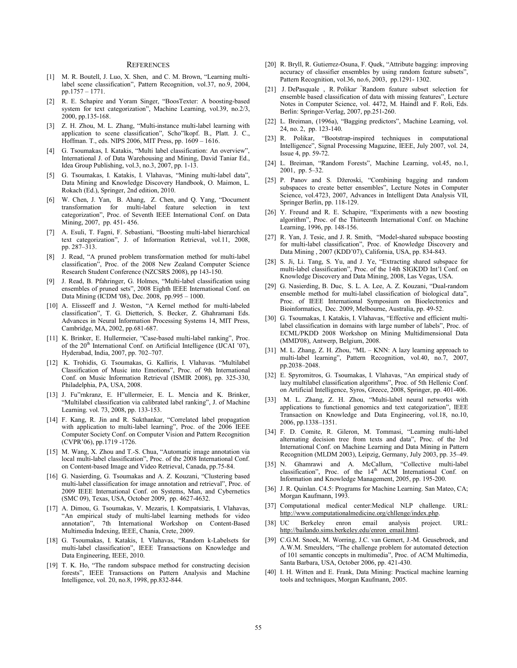#### **REFERENCES**

- [1] M. R. Boutell, J. Luo, X. Shen, and C. M. Brown, "Learning multilabel scene classification", Pattern Recognition, vol.37, no.9, 2004, pp.1757 – 1771.
- [2] R. E. Schapire and Yoram Singer, "BoosTexter: A boosting-based system for text categorization", Machine Learning, vol.39, no.2/3, 2000, pp.135-168.
- [3] Z. H. Zhou, M. L. Zhang, "Multi-instance multi-label learning with application to scene classification", Scho"lkopf. B., Platt. J. C., Hoffman. T., eds. NIPS 2006, MIT Press, pp. 1609 – 1616.
- [4] G. Tsoumakas, I. Katakis, "Multi label classification: An overview", International J. of Data Warehousing and Mining, David Taniar Ed., Idea Group Publishing, vol.3, no.3, 2007, pp. 1-13.
- [5] G. Tsoumakas, I. Katakis, I. Vlahavas, "Mining multi-label data", Data Mining and Knowledge Discovery Handbook, O. Maimon, L. Rokach (Ed.), Springer, 2nd edition, 2010.
- [6] W. Chen, J. Yan, B. Ahang, Z. Chen, and Q. Yang, "Document transformation for multi-label feature selection in text categorization", Proc. of Seventh IEEE International Conf. on Data Mining, 2007, pp. 451- 456.
- [7] A. Esuli, T. Fagni, F. Sebastiani, "Boosting multi-label hierarchical text categorization", J. of Information Retrieval, vol.11, 2008, pp. 287–313.
- [8] J. Read, "A pruned problem transformation method for multi-label classification", Proc. of the 2008 New Zealand Computer Science Research Student Conference (NZCSRS 2008), pp 143-150.
- [9] J. Read, B. Pfahringer, G. Holmes, "Multi-label classification using ensembles of pruned sets", 2008 Eighth IEEE International Conf. on Data Mining (ICDM '08), Dec. 2008, pp.995 – 1000.
- [10] A. Elisseeff and J. Weston, "A Kernel method for multi-labeled classification", T. G. Dietterich, S. Becker, Z. Ghahramani Eds. Advances in Neural Information Processing Systems 14, MIT Press, Cambridge, MA, 2002, pp.681-687.
- [11] K. Brinker, E. Hullermeier, "Case-based multi-label ranking", Proc. of the 20<sup>th</sup> International Conf. on Artificial Intelligence (IJCAI '07), Hyderabad, India, 2007, pp. 702–707.
- [12] K. Trohidis, G. Tsoumakas, G. Kalliris, I. Vlahavas. "Multilabel Classification of Music into Emotions", Proc. of 9th International Conf. on Music Information Retrieval (ISMIR 2008), pp. 325-330, Philadelphia, PA, USA, 2008.
- [13] J. Fu"rnkranz, E. H"ullermeier, E. L. Mencia and K. Brinker, "Multilabel classification via calibrated label ranking", J. of Machine Learning. vol. 73, 2008, pp. 133-153.
- [14] F. Kang, R. Jin and R. Sukthankar, "Correlated label propagation with application to multi-label learning", Proc. of the 2006 IEEE Computer Society Conf. on Computer Vision and Pattern Recognition (CVPR'06), pp.1719 -1726.
- [15] M. Wang, X. Zhou and T.-S. Chua, "Automatic image annotation via local multi-label classification", Proc. of the 2008 International Conf. on Content-based Image and Video Retrieval, Canada, pp.75-84.
- [16] G. Nasierding, G. Tsoumakas and A. Z. Kouzani, "Clustering based multi-label classification for image annotation and retrieval", Proc. of 2009 IEEE International Conf. on Systems, Man, and Cybernetics (SMC 09), Texas, USA, October 2009, pp. 4627-4632.
- [17] A. Dimou, G. Tsoumakas, V. Mezaris, I. Kompatsiaris, I. Vlahavas, "An empirical study of multi-label learning methods for video annotation", 7th International Workshop on Content-Based Multimedia Indexing, IEEE, Chania, Crete, 2009.
- [18] G. Tsoumakas, I. Katakis, I. Vlahavas, "Random k-Labelsets for multi-label classification", IEEE Transactions on Knowledge and Data Engineering, IEEE, 2010.
- [19] T. K. Ho, "The random subspace method for constructing decision forests", IEEE Transactions on Pattern Analysis and Machine Intelligence, vol. 20, no.8, 1998, pp.832-844.
- [20] R. Bryll, R. Gutierrez-Osuna, F. Quek, "Attribute bagging: improving accuracy of classifier ensembles by using random feature subsets", Pattern Recognition, vol.36, no.6, 2003, pp.1291- 1302.
- [21] J. DePasquale, R. Polikar "Random feature subset selection for ensemble based classification of data with missing features", Lecture Notes in Computer Science, vol. 4472, M. Haindl and F. Roli, Eds. Berlin: Springer-Verlag, 2007, pp.251-260.
- [22] L. Breiman, (1996a), "Bagging predictors", Machine Learning, vol. 24, no. 2, pp. 123-140.
- [23] R. Polikar, "Bootstrap-inspired techniques in computational Intelligence", Signal Processing Magazine, IEEE, July 2007, vol. 24, Issue 4, pp. 59-72.
- [24] L. Breiman, "Random Forests", Machine Learning, vol.45, no.1, 2001, pp. 5–32.
- [25] P. Panov and S. Džeroski, "Combining bagging and random subspaces to create better ensembles", Lecture Notes in Computer Science, vol.4723, 2007, Advances in Intelligent Data Analysis VII, Springer Berlin, pp. 118-129.
- [26] Y. Freund and R. E. Schapire, "Experiments with a new boosting algorithm", Proc. of the Thirteenth International Conf. on Machine Learning, 1996, pp. 148-156.
- [27] R. Yan, J. Tesic, and J. R. Smith, "Model-shared subspace boosting for multi-label classification", Proc. of Knowledge Discovery and Data Mining , 2007 (KDD'07), California, USA, pp. 834-843.
- [28] S. Ji, Li. Tang, S. Yu, and J. Ye, "Extracting shared subspace for multi-label classification", Proc. of the 14th SIGKDD Int'l Conf. on Knowledge Discovery and Data Mining, 2008, Las Vegas, USA.
- [29] G. Nasierding, B. Duc, S. L. A. Lee, A. Z. Kouzani, "Dual-random ensemble method for multi-label classification of biological data' Proc. of IEEE International Symposium on Bioelectronics and Bioinformatics, Dec. 2009, Melbourne, Australia, pp. 49-52.
- [30] G. Tsoumakas, I. Katakis, I. Vlahavas, "Effective and efficient multilabel classification in domains with large number of labels", Proc. of ECML/PKDD 2008 Workshop on Mining Multidimensional Data (MMD'08), Antwerp, Belgium, 2008.
- [31] M. L. Zhang, Z. H. Zhou, "ML KNN: A lazy learning approach to multi-label learning", Pattern Recognition, vol.40, no.7, 2007, pp.2038–2048.
- [32] E. Spyromitros, G. Tsoumakas, I. Vlahavas, "An empirical study of lazy multilabel classification algorithms", Proc. of 5th Hellenic Conf. on Artificial Intelligence, Syros, Greece, 2008, Springer, pp. 401-406.
- [33] M. L. Zhang, Z. H. Zhou, "Multi-label neural networks with applications to functional genomics and text categorization", IEEE Transaction on Knowledge and Data Engineering, vol.18, no.10, 2006, pp.1338–1351.
- [34] F. D. Comite, R. Gileron, M. Tommasi, "Learning multi-label alternating decision tree from texts and data". Proc. of the 3rd International Conf. on Machine Learning and Data Mining in Pattern Recognition (MLDM 2003), Leipzig, Germany, July 2003, pp. 35–49.
- [35] N. Ghamrawi and A. McCallum, "Collective multi-label classification", Proc. of the 14<sup>th</sup> ACM International Conf. on Information and Knowledge Management, 2005, pp. 195-200.
- [36] J. R. Quinlan. C4.5: Programs for Machine Learning. San Mateo, CA; Morgan Kaufmann, 1993.
- [37] Computational medical center:Medical NLP challenge. URL: http://www.computationalmedicine.org/chllenge/index.php.
- [38] UC Berkeley enron email analysis project. URL: http://bailando.sims.berkeley.edu/enron\_email.html.
- [39] C.G.M. Snoek, M. Worring, J.C. van Gemert, J.-M. Geusebroek, and A.W.M. Smeulders, "The challenge problem for automated detection of 101 semantic concepts in multimedia", Proc. of ACM Multimedia, Santa Barbara, USA, October 2006, pp. 421-430.
- [40] I. H. Witten and E. Frank, Data Mining: Practical machine learning tools and techniques, Morgan Kaufmann, 2005.